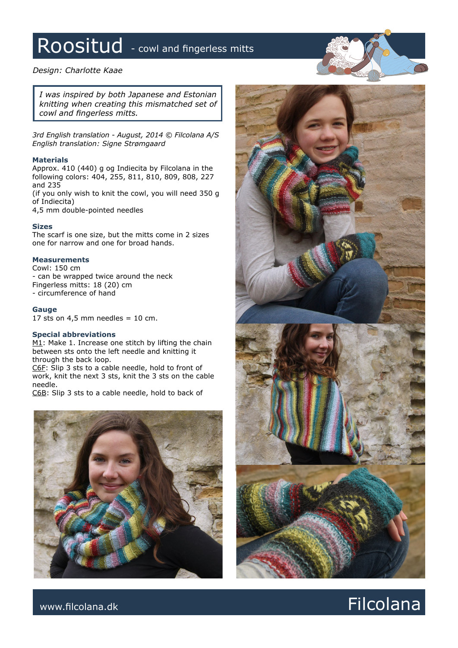# Roositud - cowl and fingerless mitts

# *Design: Charlotte Kaae*

*I was inspired by both Japanese and Estonian knitting when creating this mismatched set of cowl and fingerless mitts.* 

*3rd English translation - August, 2014 © Filcolana A/S English translation: Signe Strømgaard*

## **Materials**

Approx. 410 (440) g og Indiecita by Filcolana in the following colors: 404, 255, 811, 810, 809, 808, 227 and 235

(if you only wish to knit the cowl, you will need 350 g of Indiecita)

4,5 mm double-pointed needles

### **Sizes**

The scarf is one size, but the mitts come in 2 sizes one for narrow and one for broad hands.

## **Measurements**

Cowl: 150 cm - can be wrapped twice around the neck Fingerless mitts: 18 (20) cm - circumference of hand

#### **Gauge**

17 sts on  $4,5$  mm needles = 10 cm.

# **Special abbreviations**

M1: Make 1. Increase one stitch by lifting the chain between sts onto the left needle and knitting it through the back loop.

C6F: Slip 3 sts to a cable needle, hold to front of work, knit the next 3 sts, knit the 3 sts on the cable needle.

C6B: Slip 3 sts to a cable needle, hold to back of





# www.filcolana.dk **Filcolana.dk** Particolana.dk and the set of the set of the set of the set of the set of the set of the set of the set of the set of the set of the set of the set of the set of the set of the set of the se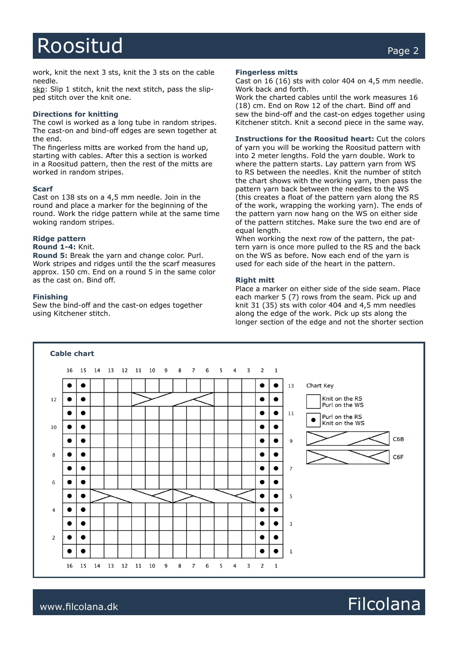# Roositud Page 2

work, knit the next 3 sts, knit the 3 sts on the cable needle.

skp: Slip 1 stitch, knit the next stitch, pass the slipped stitch over the knit one.

### **Directions for knitting**

The cowl is worked as a long tube in random stripes. The cast-on and bind-off edges are sewn together at the end.

The fingerless mitts are worked from the hand up, starting with cables. After this a section is worked in a Roositud pattern, then the rest of the mitts are worked in random stripes.

### **Scarf**

Cast on 138 sts on a 4,5 mm needle. Join in the round and place a marker for the beginning of the round. Work the ridge pattern while at the same time woking random stripes.

### **Ridge pattern**

# **Round 1-4:** Knit.

**Round 5:** Break the yarn and change color. Purl. Work stripes and ridges until the the scarf measures approx. 150 cm. End on a round 5 in the same color as the cast on. Bind off.

#### **Finishing**

Sew the bind-off and the cast-on edges together using Kitchener stitch.

#### **Fingerless mitts**

Cast on 16 (16) sts with color 404 on 4,5 mm needle. Work back and forth.

Work the charted cables until the work measures 16 (18) cm. End on Row 12 of the chart. Bind off and sew the bind-off and the cast-on edges together using Kitchener stitch. Knit a second piece in the same way.

# **Instructions for the Roositud heart:** Cut the colors

of yarn you will be working the Roositud pattern with into 2 meter lengths. Fold the yarn double. Work to where the pattern starts. Lay pattern yarn from WS to RS between the needles. Knit the number of stitch the chart shows with the working yarn, then pass the pattern yarn back between the needles to the WS (this creates a float of the pattern yarn along the RS of the work, wrapping the working yarn). The ends of the pattern yarn now hang on the WS on either side of the pattern stitches. Make sure the two end are of equal length.

When working the next row of the pattern, the pattern yarn is once more pulled to the RS and the back on the WS as before. Now each end of the yarn is used for each side of the heart in the pattern.

#### **Right mitt**

Place a marker on either side of the side seam. Place each marker 5 (7) rows from the seam. Pick up and knit 31 (35) sts with color 404 and 4,5 mm needles along the edge of the work. Pick up sts along the longer section of the edge and not the shorter section



# www.filcolana.dk **Filcolana.dk** Reserves and the setting of the setting of the setting of the setting of the setting of the setting of the setting of the setting of the setting of the setting of the setting of the setting